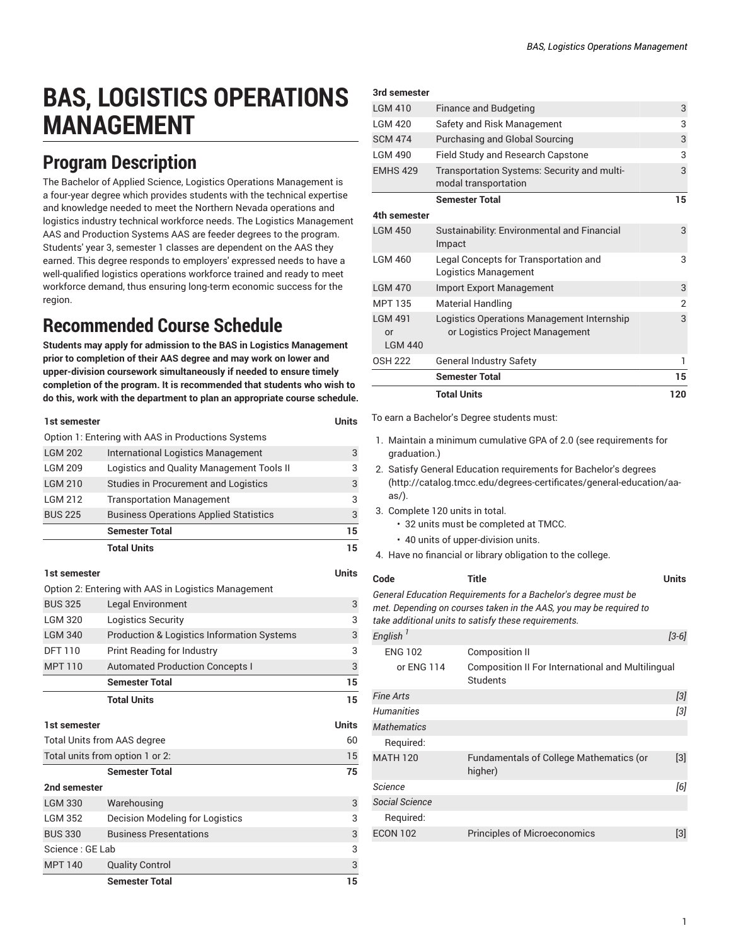## **BAS, LOGISTICS OPERATIONS MANAGEMENT**

## **Program Description**

The Bachelor of Applied Science, Logistics Operations Management is a four-year degree which provides students with the technical expertise and knowledge needed to meet the Northern Nevada operations and logistics industry technical workforce needs. The Logistics Management AAS and Production Systems AAS are feeder degrees to the program. Students' year 3, semester 1 classes are dependent on the AAS they earned. This degree responds to employers' expressed needs to have a well-qualified logistics operations workforce trained and ready to meet workforce demand, thus ensuring long-term economic success for the region.

## **Recommended Course Schedule**

**Students may apply for admission to the BAS in Logistics Management prior to completion of their AAS degree and may work on lower and upper-division coursework simultaneously if needed to ensure timely completion of the program. It is recommended that students who wish to do this, work with the department to plan an appropriate course schedule.**

| 1st semester                                        |                                                       | <b>Units</b> |
|-----------------------------------------------------|-------------------------------------------------------|--------------|
|                                                     | Option 1: Entering with AAS in Productions Systems    |              |
| <b>LGM 202</b>                                      | <b>International Logistics Management</b>             | 3            |
| <b>LGM 209</b>                                      | Logistics and Quality Management Tools II             | 3            |
| <b>LGM 210</b>                                      | <b>Studies in Procurement and Logistics</b>           | 3            |
| <b>LGM 212</b>                                      | <b>Transportation Management</b>                      | 3            |
| <b>BUS 225</b>                                      | <b>Business Operations Applied Statistics</b>         | 3            |
|                                                     | <b>Semester Total</b>                                 | 15           |
|                                                     | <b>Total Units</b>                                    | 15           |
| 1st semester                                        |                                                       |              |
| Option 2: Entering with AAS in Logistics Management |                                                       |              |
| <b>BUS 325</b>                                      | <b>Legal Environment</b>                              | 3            |
| <b>LGM 320</b>                                      | Logistics Security                                    | 3            |
| <b>LGM 340</b>                                      | <b>Production &amp; Logistics Information Systems</b> | 3            |
| <b>DFT 110</b>                                      | Print Reading for Industry                            | 3            |
| <b>MPT 110</b>                                      | <b>Automated Production Concepts I</b>                | 3            |
|                                                     | <b>Semester Total</b>                                 | 15           |
|                                                     | <b>Total Units</b>                                    | 15           |
| 1st semester                                        |                                                       |              |
| Total Units from AAS degree                         |                                                       | 60           |
| Total units from option 1 or 2:                     |                                                       | 15           |
|                                                     | <b>Semester Total</b>                                 | 75           |
| 2nd semester                                        |                                                       |              |
| <b>LGM 330</b>                                      | Warehousing                                           | 3            |
| <b>LGM 352</b>                                      | <b>Decision Modeling for Logistics</b>                | 3            |
| <b>BUS 330</b>                                      | <b>Business Presentations</b>                         | 3            |
| Science: GE Lab                                     |                                                       |              |
| <b>MPT 140</b>                                      | <b>Quality Control</b>                                | 3            |
|                                                     | <b>Semester Total</b>                                 | 15           |

|                                          | <b>Total Units</b>                                                            | 120 |
|------------------------------------------|-------------------------------------------------------------------------------|-----|
|                                          | <b>Semester Total</b>                                                         | 15  |
| <b>OSH 222</b>                           | <b>General Industry Safety</b>                                                | 1   |
| I GM 491<br>$\alpha$ r<br><b>LGM 440</b> | Logistics Operations Management Internship<br>or Logistics Project Management | 3   |
| <b>MPT 135</b>                           | <b>Material Handling</b>                                                      | 2   |
| <b>LGM 470</b>                           | <b>Import Export Management</b>                                               | 3   |
| <b>LGM 460</b>                           | Legal Concepts for Transportation and<br>Logistics Management                 | 3   |
| <b>LGM 450</b>                           | Sustainability: Environmental and Financial<br>Impact                         | 3   |
| 4th semester                             |                                                                               |     |
|                                          | <b>Semester Total</b>                                                         | 15  |
| <b>EMHS 429</b>                          | Transportation Systems: Security and multi-<br>modal transportation           | 3   |
| <b>LGM 490</b>                           | <b>Field Study and Research Capstone</b>                                      | 3   |
| <b>SCM 474</b>                           | Purchasing and Global Sourcing                                                | 3   |
| LGM 420                                  | Safety and Risk Management                                                    | 3   |
| LGM 410                                  | <b>Finance and Budgeting</b>                                                  | 3   |

To earn a Bachelor's Degree students must:

- 1. Maintain a minimum cumulative GPA of 2.0 (see requirements for graduation.)
- 2. Satisfy General Education [requirements](http://catalog.tmcc.edu/degrees-certificates/general-education/aa-as/) for Bachelor's degrees [\(http://catalog.tmcc.edu/degrees-certificates/general-education/aa](http://catalog.tmcc.edu/degrees-certificates/general-education/aa-as/)[as/](http://catalog.tmcc.edu/degrees-certificates/general-education/aa-as/)).
- 3. Complete 120 units in total.

**3rd semester**

- 32 units must be completed at TMCC.
- 40 units of upper-division units.
- 4. Have no financial or library obligation to the college.

| Code                 | Title                                                                                                                                                                                        | <b>Units</b> |
|----------------------|----------------------------------------------------------------------------------------------------------------------------------------------------------------------------------------------|--------------|
|                      | General Education Requirements for a Bachelor's degree must be<br>met. Depending on courses taken in the AAS, you may be required to<br>take additional units to satisfy these requirements. |              |
| English <sup>1</sup> |                                                                                                                                                                                              | $[3-6]$      |
| <b>ENG 102</b>       | <b>Composition II</b>                                                                                                                                                                        |              |
| or ENG 114           | Composition II For International and Multilingual<br>Students                                                                                                                                |              |
| <b>Fine Arts</b>     |                                                                                                                                                                                              | [3]          |
| <b>Humanities</b>    |                                                                                                                                                                                              | [3]          |
| <b>Mathematics</b>   |                                                                                                                                                                                              |              |
| Required:            |                                                                                                                                                                                              |              |
| <b>MATH 120</b>      | <b>Fundamentals of College Mathematics (or</b><br>higher)                                                                                                                                    | [3]          |
| Science              |                                                                                                                                                                                              | [6]          |
| Social Science       |                                                                                                                                                                                              |              |
| Required:            |                                                                                                                                                                                              |              |
| <b>ECON 102</b>      | <b>Principles of Microeconomics</b>                                                                                                                                                          | [3]          |